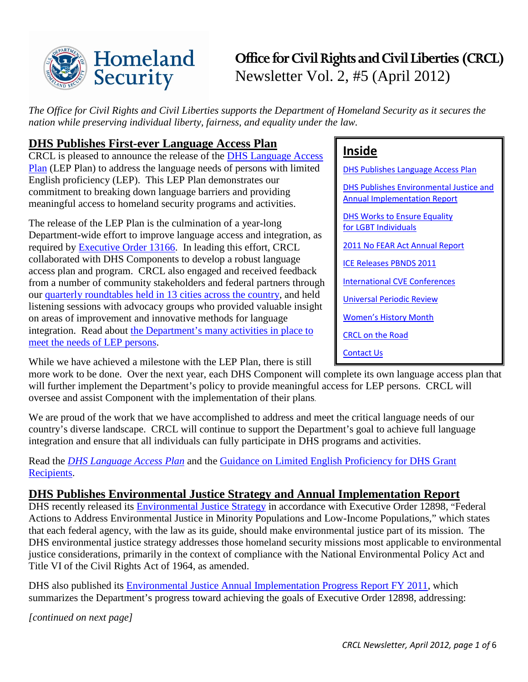

# **Office for Civil Rights and Civil Liberties (CRCL)** Newsletter Vol. 2, #5 (April 2012)

*The Office for Civil Rights and Civil Liberties supports the Department of Homeland Security as it secures the nation while preserving individual liberty, fairness, and equality under the law.* 

## <span id="page-0-0"></span>**DHS Publishes First-ever Language Access Plan**

CRCL is pleased to announce the release of the [DHS Language Access](http://www.dhs.gov/crcl-lep)  [Plan](http://www.dhs.gov/crcl-lep) (LEP Plan) to address the language needs of persons with limited English proficiency (LEP). This LEP Plan demonstrates our commitment to breaking down language barriers and providing meaningful access to homeland security programs and activities.

The release of the LEP Plan is the culmination of a year-long Department-wide effort to improve language access and integration, as required by [Executive Order 13166.](http://www.lep.gov/13166/eo13166.html) In leading this effort, CRCL collaborated with DHS Components to develop a robust language access plan and program. CRCL also engaged and received feedback from a number of community stakeholders and federal partners through our [quarterly roundtables held in 13 cities across the country,](http://www.dhs.gov/xabout/structure/gc_1273873058706.shtm#1) and held listening sessions with advocacy groups who provided valuable insight on areas of improvement and innovative methods for language integration. Read about [the Department's many activities in place to](http://www.dhs.gov/crcl-lep)  [meet the needs of LEP persons.](http://www.dhs.gov/crcl-lep)

While we have achieved a milestone with the LEP Plan, there is still

more work to be done. Over the next year, each DHS Component will complete its own language access plan that will further implement the Department's policy to provide meaningful access for LEP persons. CRCL will oversee and assist Component with the implementation of their plans.

We are proud of the work that we have accomplished to address and meet the critical language needs of our country's diverse landscape. CRCL will continue to support the Department's goal to achieve full language integration and ensure that all individuals can fully participate in DHS programs and activities.

Read the *[DHS Language Access Plan](http://www.dhs.gov/crcl-lep)* and the [Guidance on Limited English Proficiency for DHS Grant](http://www.dhs.gov/xabout/laws/gc_1277301604814.shtm)  [Recipients.](http://www.dhs.gov/xabout/laws/gc_1277301604814.shtm)

## <span id="page-0-1"></span>**DHS Publishes Environmental Justice Strategy and Annual Implementation Report**

DHS recently released its [Environmental Justice Strategy](http://www.dhs.gov/xlibrary/assets/mgmt/dhs-environmental-justice-strategy.pdf) in accordance with Executive Order 12898, "Federal Actions to Address Environmental Justice in Minority Populations and Low-Income Populations," which states that each federal agency, with the law as its guide, should make environmental justice part of its mission. The DHS environmental justice strategy addresses those homeland security missions most applicable to environmental justice considerations, primarily in the context of compliance with the National Environmental Policy Act and Title VI of the Civil Rights Act of 1964, as amended.

DHS also published its [Environmental Justice Annual Implementation Progress Report FY 2011,](http://www.dhs.gov/xlibrary/assets/mgmt/dhs-fy2011-ej-ann-rpt.pdf) which summarizes the Department's progress toward achieving the goals of Executive Order 12898, addressing:

*[continued on next page]*

## **Inside**

DHS Publishes [Language Access Plan](#page-0-0) [DHS Publishes Environmental Justice and](#page-0-1)  [Annual Implementation Report](#page-0-1) [DHS Works to Ensure Equality](#page-1-0)  [for LGBT Individuals](#page-1-0)  [2011 No FEAR Act Annual Report](#page-2-0) [ICE Releases PBNDS 2011](#page-2-1) [International CVE Conferences](#page-2-2) [Universal Periodic Review](#page-3-0) Women's [History Month](#page-4-0) [CRCL on the Road](#page-4-1) [Contact Us](#page-5-0)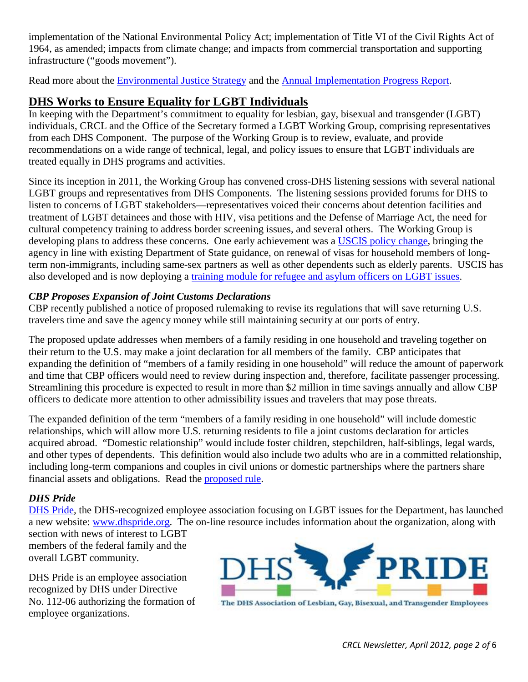implementation of the National Environmental Policy Act; implementation of Title VI of the Civil Rights Act of 1964, as amended; impacts from climate change; and impacts from commercial transportation and supporting infrastructure ("goods movement").

Read more about the **Environmental Justice Strategy** and the **Annual Implementation Progress Report.** 

## <span id="page-1-0"></span>**DHS Works to Ensure Equality for LGBT Individuals**

In keeping with the Department's commitment to equality for lesbian, gay, bisexual and transgender (LGBT) individuals, CRCL and the Office of the Secretary formed a LGBT Working Group, comprising representatives from each DHS Component. The purpose of the Working Group is to review, evaluate, and provide recommendations on a wide range of technical, legal, and policy issues to ensure that LGBT individuals are treated equally in DHS programs and activities.

Since its inception in 2011, the Working Group has convened cross-DHS listening sessions with several national LGBT groups and representatives from DHS Components. The listening sessions provided forums for DHS to listen to concerns of LGBT stakeholders—representatives voiced their concerns about detention facilities and treatment of LGBT detainees and those with HIV, visa petitions and the Defense of Marriage Act, the need for cultural competency training to address border screening issues, and several others. The Working Group is developing plans to address these concerns. One early achievement was a [USCIS policy change,](http://www.uscis.gov/USCIS/Laws/Memoranda/2011/August/Cohabitating_Partners_PM_081711.pdf) bringing the agency in line with existing Department of State guidance, on renewal of visas for household members of longterm non-immigrants, including same-sex partners as well as other dependents such as elderly parents. USCIS has also developed and is now deploying a [training module for refugee and asylum officers on LGBT issues.](http://www.uscis.gov/USCIS/Laws/Memoranda/2011/August/Cohabitating_Partners_PM_081711.pdf)

### *CBP Proposes Expansion of Joint Customs Declarations*

CBP recently published a notice of proposed rulemaking to revise its regulations that will save returning U.S. travelers time and save the agency money while still maintaining security at our ports of entry.

The proposed update addresses when members of a family residing in one household and traveling together on their return to the U.S. may make a joint declaration for all members of the family. CBP anticipates that expanding the definition of "members of a family residing in one household" will reduce the amount of paperwork and time that CBP officers would need to review during inspection and, therefore, facilitate passenger processing. Streamlining this procedure is expected to result in more than \$2 million in time savings annually and allow CBP officers to dedicate more attention to other admissibility issues and travelers that may pose threats.

The expanded definition of the term "members of a family residing in one household" will include domestic relationships, which will allow more U.S. returning residents to file a joint customs declaration for articles acquired abroad. "Domestic relationship" would include foster children, stepchildren, half-siblings, legal wards, and other types of dependents. This definition would also include two adults who are in a committed relationship, including long-term companions and couples in civil unions or domestic partnerships where the partners share financial assets and obligations. Read the [proposed rule.](https://www.federalregister.gov/articles/2012/03/27/2012-7122/members-of-a-family-for-purpose-of-filing-a-cbp-family-declaration)

### *DHS Pride*

[DHS Pride,](http://www.dhspride.org/) the DHS-recognized employee association focusing on LGBT issues for the Department, has launched a new website: [www.dhspride.org.](http://www.dhspride.org/) The on-line resource includes information about the organization, along with

section with news of interest to LGBT members of the federal family and the overall LGBT community.

DHS Pride is an employee association recognized by DHS under Directive No. 112-06 authorizing the formation of employee organizations.



The DHS Association of Lesbian, Gay, Bisexual, and Transgender Employees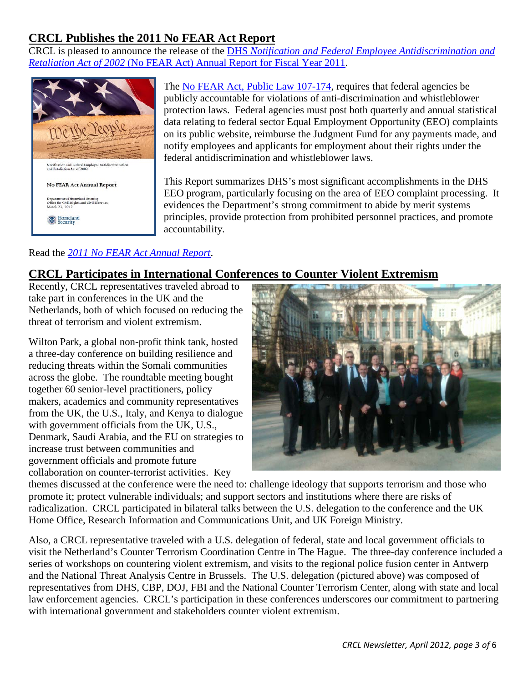## <span id="page-2-0"></span>**CRCL Publishes the 2011 No FEAR Act Report**

CRCL is pleased to announce the release of the DHS *[Notification and Federal Employee Antidiscrimination and](http://www.dhs.gov/xlibrary/assets/crcl-no-fear-act-annual-report-2011.pdf)  Retaliation Act of 2002* [\(No FEAR Act\) Annual Report for Fiscal Year 2011.](http://www.dhs.gov/xlibrary/assets/crcl-no-fear-act-annual-report-2011.pdf)



The [No FEAR Act, Public Law 107-174,](http://www.gpo.gov/fdsys/pkg/PLAW-107publ174/html/PLAW-107publ174.htm) requires that federal agencies be publicly accountable for violations of anti-discrimination and whistleblower protection laws. Federal agencies must post both quarterly and annual statistical data relating to federal sector Equal Employment Opportunity (EEO) complaints on its public website, reimburse the Judgment Fund for any payments made, and notify employees and applicants for employment about their rights under the federal antidiscrimination and whistleblower laws.

This Report summarizes DHS's most significant accomplishments in the DHS EEO program, particularly focusing on the area of EEO complaint processing. It evidences the Department's strong commitment to abide by merit systems principles, provide protection from prohibited personnel practices, and promote accountability.

### Read the *[2011 No FEAR Act Annual Report](http://www.dhs.gov/xlibrary/assets/crcl-no-fear-act-annual-report-2011.pdf)*.

## <span id="page-2-1"></span>**CRCL Participates in International Conferences to Counter Violent Extremism**

Recently, CRCL representatives traveled abroad to take part in conferences in the UK and the Netherlands, both of which focused on reducing the threat of terrorism and violent extremism.

Wilton Park, a global non-profit think tank, hosted a three-day conference on building resilience and reducing threats within the Somali communities across the globe. The roundtable meeting bought together 60 senior-level practitioners, policy makers, academics and community representatives from the UK, the U.S., Italy, and Kenya to dialogue with government officials from the UK, U.S., Denmark, Saudi Arabia, and the EU on strategies to increase trust between communities and government officials and promote future collaboration on counter-terrorist activities. Key



themes discussed at the conference were the need to: challenge ideology that supports terrorism and those who promote it; protect vulnerable individuals; and support sectors and institutions where there are risks of radicalization. CRCL participated in bilateral talks between the U.S. delegation to the conference and the UK Home Office, Research Information and Communications Unit, and UK Foreign Ministry.

<span id="page-2-2"></span>Also, a CRCL representative traveled with a U.S. delegation of federal, state and local government officials to visit the Netherland's Counter Terrorism Coordination Centre in The Hague. The three-day conference included a series of workshops on countering violent extremism, and visits to the regional police fusion center in Antwerp and the National Threat Analysis Centre in Brussels. The U.S. delegation (pictured above) was composed of representatives from DHS, CBP, DOJ, FBI and the National Counter Terrorism Center, along with state and local law enforcement agencies. CRCL's participation in these conferences underscores our commitment to partnering with international government and stakeholders counter violent extremism.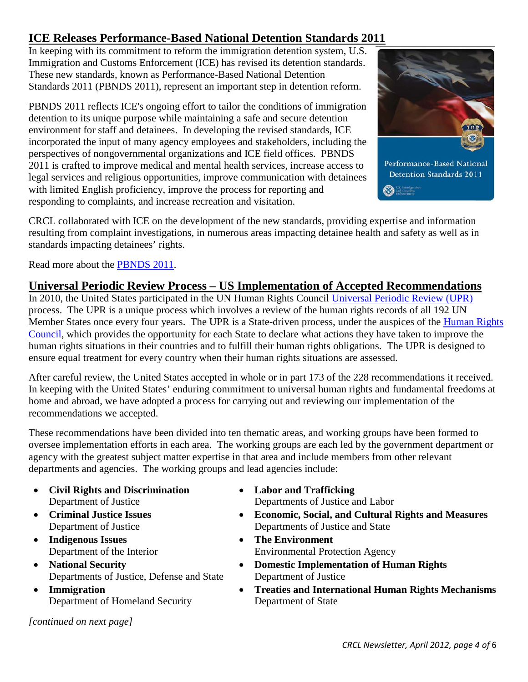## **ICE Releases Performance-Based National Detention Standards 2011**

In keeping with its commitment to reform the immigration detention system, U.S. Immigration and Customs Enforcement (ICE) has revised its detention standards. These new standards, known as Performance-Based National Detention Standards 2011 (PBNDS 2011), represent an important step in detention reform.

PBNDS 2011 reflects ICE's ongoing effort to tailor the conditions of immigration detention to its unique purpose while maintaining a safe and secure detention environment for staff and detainees. In developing the revised standards, ICE incorporated the input of many agency employees and stakeholders, including the perspectives of nongovernmental organizations and ICE field offices. PBNDS 2011 is crafted to improve medical and mental health services, increase access to legal services and religious opportunities, improve communication with detainees with limited English proficiency, improve the process for reporting and responding to complaints, and increase recreation and visitation.



CRCL collaborated with ICE on the development of the new standards, providing expertise and information resulting from complaint investigations, in numerous areas impacting detainee health and safety as well as in standards impacting detainees' rights.

Read more about the [PBNDS 2011.](http://www.ice.gov/detention-standards/2011/)

## <span id="page-3-0"></span>**Universal Periodic Review Process – US Implementation of Accepted Recommendations**

In 2010, the United States participated in the UN Human Rights Council [Universal Periodic Review \(UPR\)](http://www.ohchr.org/en/hrbodies/upr/pages/uprmain.aspx) process. The UPR is a unique process which involves a review of the human rights records of all 192 UN Member States once every four years. The UPR is a State-driven process, under the auspices of the **Human Rights** [Council,](http://www.ohchr.org/EN/HRBodies/HRC/Pages/HRCIndex.aspx) which provides the opportunity for each State to declare what actions they have taken to improve the human rights situations in their countries and to fulfill their human rights obligations. The UPR is designed to ensure equal treatment for every country when their human rights situations are assessed.

After careful review, the United States accepted in whole or in part 173 of the 228 recommendations it received. In keeping with the United States' enduring commitment to universal human rights and fundamental freedoms at home and abroad, we have adopted a process for carrying out and reviewing our implementation of the recommendations we accepted.

These recommendations have been divided into ten thematic areas, and working groups have been formed to oversee implementation efforts in each area. The working groups are each led by the government department or agency with the greatest subject matter expertise in that area and include members from other relevant departments and agencies. The working groups and lead agencies include:

- **Civil Rights and Discrimination** Department of Justice
- **Criminal Justice Issues** Department of Justice
- **Indigenous Issues**  Department of the Interior
- **National Security**  Departments of Justice, Defense and State
- **Immigration**  Department of Homeland Security

*[continued on next page]*

- **Labor and Trafficking** Departments of Justice and Labor
- **Economic, Social, and Cultural Rights and Measures**  Departments of Justice and State
- **The Environment**  Environmental Protection Agency
- **Domestic Implementation of Human Rights** Department of Justice
- **Treaties and International Human Rights Mechanisms**  Department of State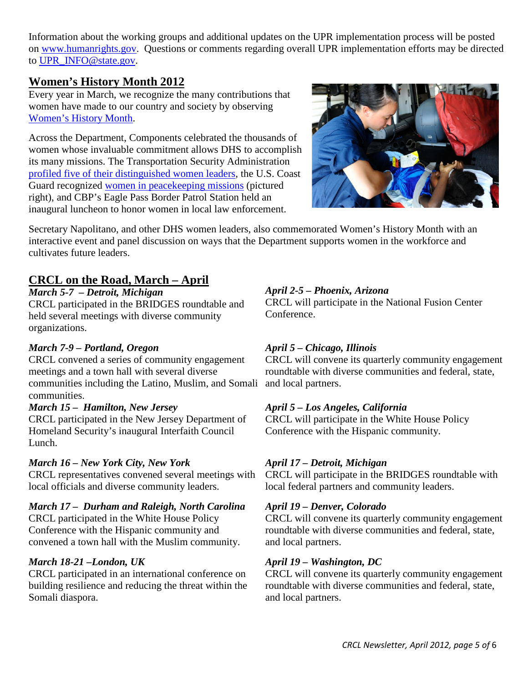Information about the working groups and additional updates on the UPR implementation process will be posted on [www.humanrights.gov.](http://www.humanrights.gov/) Questions or comments regarding overall UPR implementation efforts may be directed to [UPR\\_INFO@state.gov.](mailto:UPR_INFO@state.gov)

### <span id="page-4-0"></span>**Women's History Month 2012**

Every year in March, we recognize the many contributions that women have made to our country and society by observing [Women's History Month.](http://womenshistorymonth.gov/)

Across the Department, Components celebrated the thousands of women whose invaluable commitment allows DHS to accomplish its many missions. The Transportation Security Administration [profiled five of their distinguished women](http://http/www.tsa.gov/press/Womens_History_Month_2012/index.shtm) leaders, the U.S. Coast Guard recognized [women in peacekeeping missions](http://coastguard.dodlive.mil/2012/03/stuff-mom-never-told-you-women-in-peacekeeping/) (pictured right), and CBP's Eagle Pass Border Patrol Station held an inaugural luncheon to honor women in local law enforcement.



Secretary Napolitano, and other DHS women leaders, also commemorated Women's History Month with an interactive event and panel discussion on ways that the Department supports women in the workforce and cultivates future leaders.

### <span id="page-4-1"></span>**CRCL on the Road, March – April**

*March 5-7 – Detroit, Michigan* CRCL participated in the BRIDGES roundtable and held several meetings with diverse community organizations.

#### *March 7-9 – Portland, Oregon*

CRCL convened a series of community engagement meetings and a town hall with several diverse communities including the Latino, Muslim, and Somali and local partners. communities.

#### *March 15 – Hamilton, New Jersey*

CRCL participated in the New Jersey Department of Homeland Security's inaugural Interfaith Council Lunch.

#### *March 16 – New York City, New York*

CRCL representatives convened several meetings with local officials and diverse community leaders.

#### *March 17 – Durham and Raleigh, North Carolina*

CRCL participated in the White House Policy Conference with the Hispanic community and convened a town hall with the Muslim community.

#### *March 18-21 –London, UK*

CRCL participated in an international conference on building resilience and reducing the threat within the Somali diaspora.

#### *April 2-5 – Phoenix, Arizona*

CRCL will participate in the National Fusion Center Conference.

#### *April 5 – Chicago, Illinois*

CRCL will convene its quarterly community engagement roundtable with diverse communities and federal, state,

#### *April 5 – Los Angeles, California*

CRCL will participate in the White House Policy Conference with the Hispanic community.

#### *April 17 – Detroit, Michigan*

CRCL will participate in the BRIDGES roundtable with local federal partners and community leaders.

#### *April 19 – Denver, Colorado*

CRCL will convene its quarterly community engagement roundtable with diverse communities and federal, state, and local partners.

#### *April 19 – Washington, DC*

CRCL will convene its quarterly community engagement roundtable with diverse communities and federal, state, and local partners.